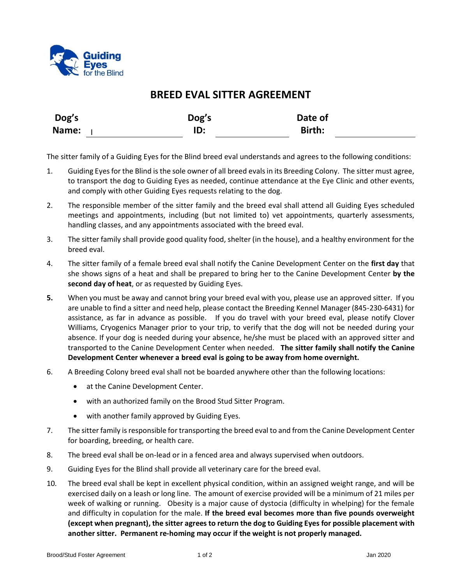

## **BREED EVAL SITTER AGREEMENT**

| Dog's | Dog's | Date of |  |
|-------|-------|---------|--|
| Name: | ID:   | Birth:  |  |

The sitter family of a Guiding Eyes for the Blind breed eval understands and agrees to the following conditions:

- 1. Guiding Eyes for the Blind is the sole owner of all breed evalsin its Breeding Colony. The sitter must agree, to transport the dog to Guiding Eyes as needed, continue attendance at the Eye Clinic and other events, and comply with other Guiding Eyes requests relating to the dog.
- 2. The responsible member of the sitter family and the breed eval shall attend all Guiding Eyes scheduled meetings and appointments, including (but not limited to) vet appointments, quarterly assessments, handling classes, and any appointments associated with the breed eval.
- 3. The sitter family shall provide good quality food, shelter (in the house), and a healthy environment for the breed eval.
- 4. The sitter family of a female breed eval shall notify the Canine Development Center on the **first day** that she shows signs of a heat and shall be prepared to bring her to the Canine Development Center **by the second day of heat**, or as requested by Guiding Eyes.
- **5.** When you must be away and cannot bring your breed eval with you, please use an approved sitter. If you are unable to find a sitter and need help, please contact the Breeding Kennel Manager (845-230-6431) for assistance, as far in advance as possible. If you do travel with your breed eval, please notify Clover Williams, Cryogenics Manager prior to your trip, to verify that the dog will not be needed during your absence. If your dog is needed during your absence, he/she must be placed with an approved sitter and transported to the Canine Development Center when needed. **The sitter family shall notify the Canine Development Center whenever a breed eval is going to be away from home overnight.**
- 6. A Breeding Colony breed eval shall not be boarded anywhere other than the following locations:
	- at the Canine Development Center.
	- with an authorized family on the Brood Stud Sitter Program.
	- with another family approved by Guiding Eyes.
- 7. The sitter family is responsible for transporting the breed eval to and from the Canine Development Center for boarding, breeding, or health care.
- 8. The breed eval shall be on-lead or in a fenced area and always supervised when outdoors.
- 9. Guiding Eyes for the Blind shall provide all veterinary care for the breed eval.
- 10. The breed eval shall be kept in excellent physical condition, within an assigned weight range, and will be exercised daily on a leash or long line. The amount of exercise provided will be a minimum of 21 miles per week of walking or running. Obesity is a major cause of dystocia (difficulty in whelping) for the female and difficulty in copulation for the male. **If the breed eval becomes more than five pounds overweight (except when pregnant), the sitter agrees to return the dog to Guiding Eyes for possible placement with another sitter. Permanent re-homing may occur if the weight is not properly managed.**